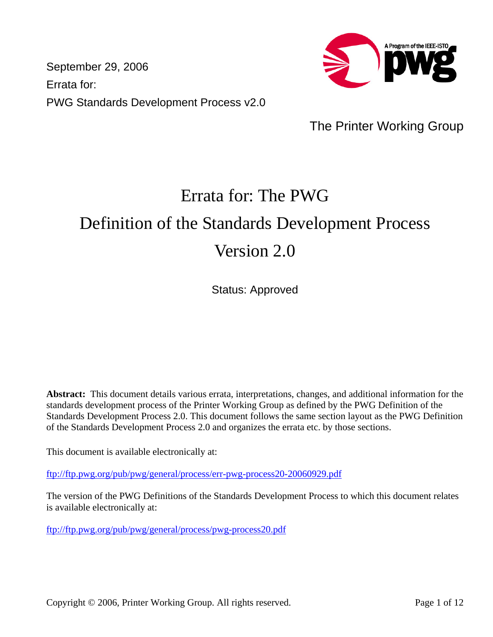September 29, 2006 Errata for: PWG Standards Development Process v2.0



The Printer Working Group

# Errata for: The PWG Definition of the Standards Development Process Version 2.0

Status: Approved

**Abstract:** This document details various errata, interpretations, changes, and additional information for the standards development process of the Printer Working Group as defined by the PWG Definition of the Standards Development Process 2.0. This document follows the same section layout as the PWG Definition of the Standards Development Process 2.0 and organizes the errata etc. by those sections.

This document is available electronically at:

<ftp://ftp.pwg.org/pub/pwg/general/process/err-pwg-process20-20060929.pdf>

The version of the PWG Definitions of the Standards Development Process to which this document relates is available electronically at:

<ftp://ftp.pwg.org/pub/pwg/general/process/pwg-process20.pdf>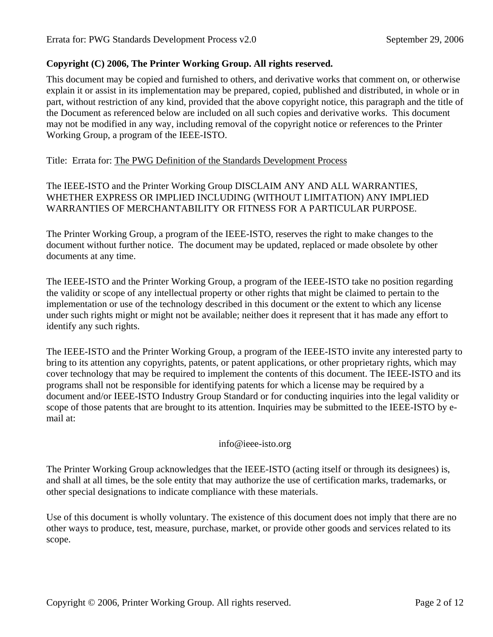# **Copyright (C) 2006, The Printer Working Group. All rights reserved.**

This document may be copied and furnished to others, and derivative works that comment on, or otherwise explain it or assist in its implementation may be prepared, copied, published and distributed, in whole or in part, without restriction of any kind, provided that the above copyright notice, this paragraph and the title of the Document as referenced below are included on all such copies and derivative works. This document may not be modified in any way, including removal of the copyright notice or references to the Printer Working Group, a program of the IEEE-ISTO.

Title: Errata for: The PWG Definition of the Standards Development Process

The IEEE-ISTO and the Printer Working Group DISCLAIM ANY AND ALL WARRANTIES, WHETHER EXPRESS OR IMPLIED INCLUDING (WITHOUT LIMITATION) ANY IMPLIED WARRANTIES OF MERCHANTABILITY OR FITNESS FOR A PARTICULAR PURPOSE.

The Printer Working Group, a program of the IEEE-ISTO, reserves the right to make changes to the document without further notice. The document may be updated, replaced or made obsolete by other documents at any time.

The IEEE-ISTO and the Printer Working Group, a program of the IEEE-ISTO take no position regarding the validity or scope of any intellectual property or other rights that might be claimed to pertain to the implementation or use of the technology described in this document or the extent to which any license under such rights might or might not be available; neither does it represent that it has made any effort to identify any such rights.

The IEEE-ISTO and the Printer Working Group, a program of the IEEE-ISTO invite any interested party to bring to its attention any copyrights, patents, or patent applications, or other proprietary rights, which may cover technology that may be required to implement the contents of this document. The IEEE-ISTO and its programs shall not be responsible for identifying patents for which a license may be required by a document and/or IEEE-ISTO Industry Group Standard or for conducting inquiries into the legal validity or scope of those patents that are brought to its attention. Inquiries may be submitted to the IEEE-ISTO by email at:

#### info@ieee-isto.org

The Printer Working Group acknowledges that the IEEE-ISTO (acting itself or through its designees) is, and shall at all times, be the sole entity that may authorize the use of certification marks, trademarks, or other special designations to indicate compliance with these materials.

Use of this document is wholly voluntary. The existence of this document does not imply that there are no other ways to produce, test, measure, purchase, market, or provide other goods and services related to its scope.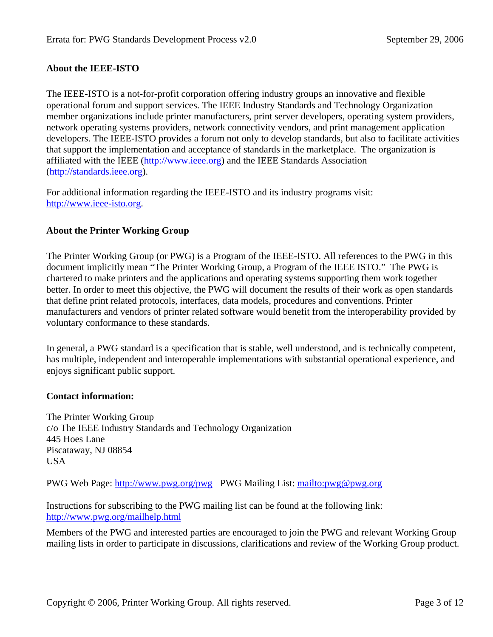# **About the IEEE-ISTO**

The IEEE-ISTO is a not-for-profit corporation offering industry groups an innovative and flexible operational forum and support services. The IEEE Industry Standards and Technology Organization member organizations include printer manufacturers, print server developers, operating system providers, network operating systems providers, network connectivity vendors, and print management application developers. The IEEE-ISTO provides a forum not only to develop standards, but also to facilitate activities that support the implementation and acceptance of standards in the marketplace. The organization is affiliated with the IEEE ([http://www.ieee.org\)](http://www.ieee.org/) and the IEEE Standards Association ([http://standards.ieee.org\)](http://standards.ieee.org/).

For additional information regarding the IEEE-ISTO and its industry programs visit: [http://www.ieee-isto.org.](http://www.ieee-isto.org/)

# **About the Printer Working Group**

The Printer Working Group (or PWG) is a Program of the IEEE-ISTO. All references to the PWG in this document implicitly mean "The Printer Working Group, a Program of the IEEE ISTO." The PWG is chartered to make printers and the applications and operating systems supporting them work together better. In order to meet this objective, the PWG will document the results of their work as open standards that define print related protocols, interfaces, data models, procedures and conventions. Printer manufacturers and vendors of printer related software would benefit from the interoperability provided by voluntary conformance to these standards.

In general, a PWG standard is a specification that is stable, well understood, and is technically competent, has multiple, independent and interoperable implementations with substantial operational experience, and enjoys significant public support.

# **Contact information:**

The Printer Working Group c/o The IEEE Industry Standards and Technology Organization 445 Hoes Lane Piscataway, NJ 08854 USA

PWG Web Page: <http://www.pwg.org/pwg>PWG Mailing List:<mailto:pwg@pwg.org>

Instructions for subscribing to the PWG mailing list can be found at the following link: <http://www.pwg.org/mailhelp.html>

Members of the PWG and interested parties are encouraged to join the PWG and relevant Working Group mailing lists in order to participate in discussions, clarifications and review of the Working Group product.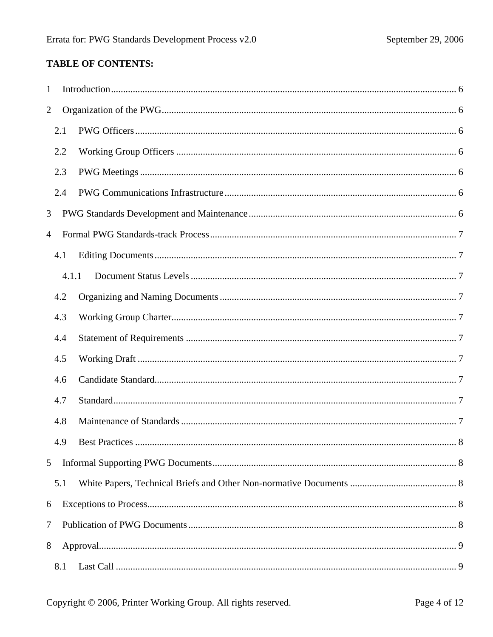# **TABLE OF CONTENTS:**

| $\mathbf{1}$   |       |  |
|----------------|-------|--|
| $\overline{2}$ |       |  |
|                | 2.1   |  |
|                | 2.2   |  |
|                | 2.3   |  |
|                | 2.4   |  |
| 3              |       |  |
| 4              |       |  |
|                | 4.1   |  |
|                | 4.1.1 |  |
|                | 4.2   |  |
|                | 4.3   |  |
|                | 4.4   |  |
|                | 4.5   |  |
|                | 4.6   |  |
|                | 4.7   |  |
|                | 4.8   |  |
|                |       |  |
| 5              |       |  |
|                | 5.1   |  |
| 6              |       |  |
| $\tau$         |       |  |
| 8              |       |  |
|                | 8.1   |  |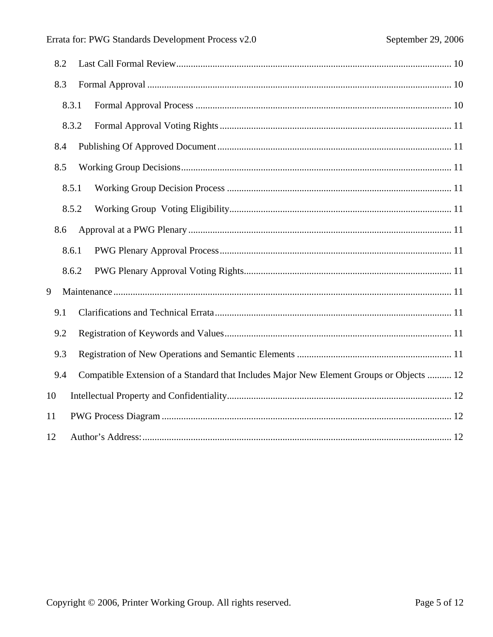| 8.2                                                                                             |
|-------------------------------------------------------------------------------------------------|
| 8.3                                                                                             |
| 8.3.1                                                                                           |
| 8.3.2                                                                                           |
| 8.4                                                                                             |
| 8.5                                                                                             |
| 8.5.1                                                                                           |
| 8.5.2                                                                                           |
| 8.6                                                                                             |
| 8.6.1                                                                                           |
| 8.6.2                                                                                           |
| 9                                                                                               |
| 9.1                                                                                             |
| 9.2                                                                                             |
| 9.3                                                                                             |
| Compatible Extension of a Standard that Includes Major New Element Groups or Objects  12<br>9.4 |
| 10                                                                                              |
| 11                                                                                              |
| 12                                                                                              |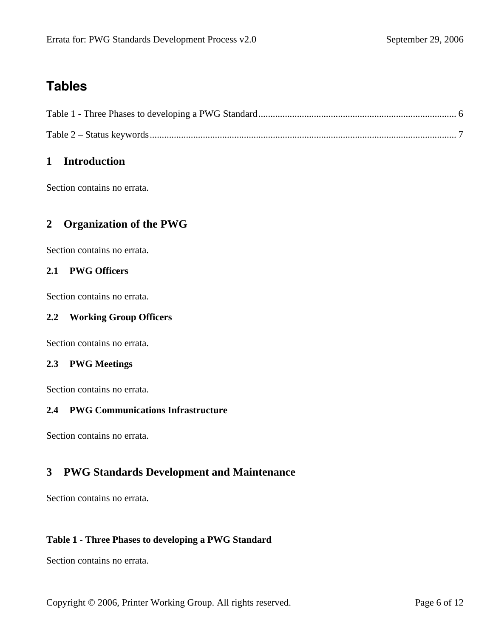# <span id="page-5-0"></span>**Tables**

# **1 Introduction**

Section contains no errata.

# **2 Organization of the PWG**

Section contains no errata.

# **2.1 PWG Officers**

Section contains no errata.

# **2.2 Working Group Officers**

Section contains no errata.

# **2.3 PWG Meetings**

Section contains no errata.

# **2.4 PWG Communications Infrastructure**

Section contains no errata.

# **3 PWG Standards Development and Maintenance**

Section contains no errata.

# **Table 1 - Three Phases to developing a PWG Standard**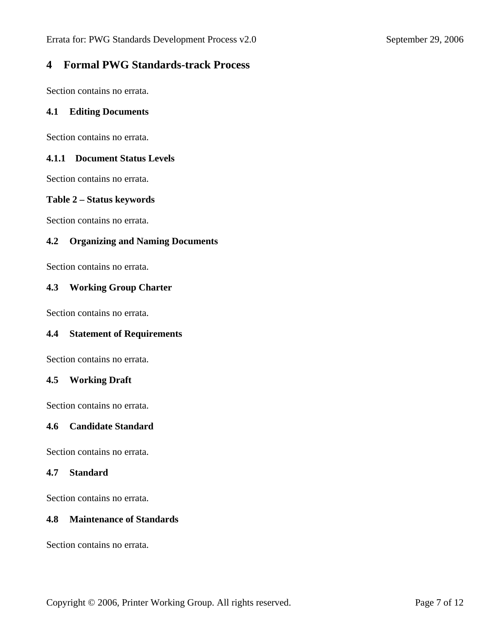# <span id="page-6-0"></span>**4 Formal PWG Standards-track Process**

Section contains no errata.

#### **4.1 Editing Documents**

Section contains no errata.

## **4.1.1 Document Status Levels**

Section contains no errata.

#### **Table 2 – Status keywords**

Section contains no errata.

# **4.2 Organizing and Naming Documents**

Section contains no errata.

# **4.3 Working Group Charter**

Section contains no errata.

#### **4.4 Statement of Requirements**

Section contains no errata.

#### **4.5 Working Draft**

Section contains no errata.

# **4.6 Candidate Standard**

Section contains no errata.

#### **4.7 Standard**

Section contains no errata.

## **4.8 Maintenance of Standards**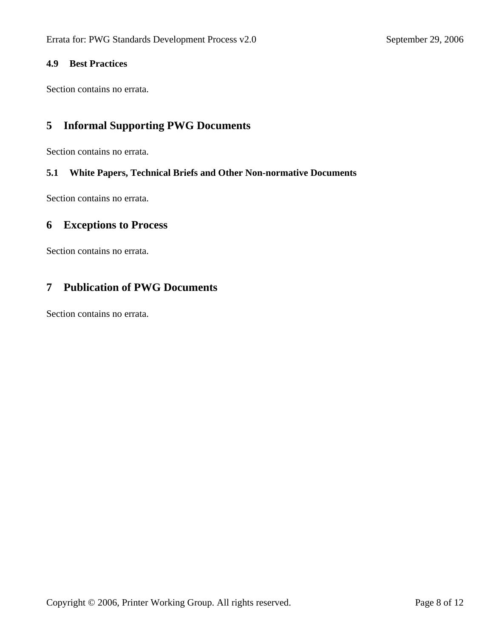# <span id="page-7-0"></span>**4.9 Best Practices**

Section contains no errata.

# **5 Informal Supporting PWG Documents**

Section contains no errata.

# **5.1 White Papers, Technical Briefs and Other Non-normative Documents**

Section contains no errata.

# **6 Exceptions to Process**

Section contains no errata.

# **7 Publication of PWG Documents**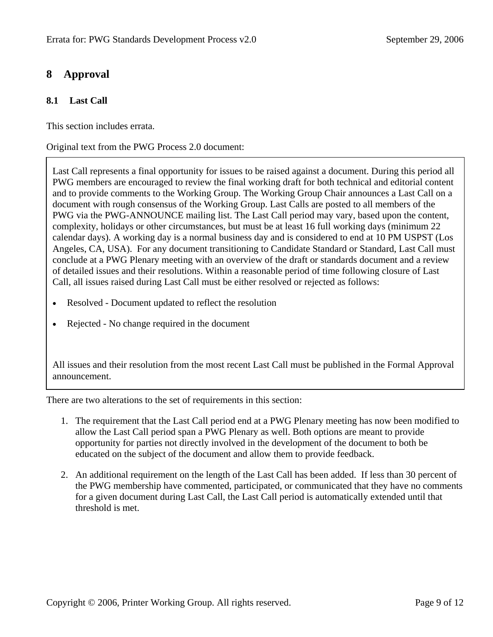# <span id="page-8-0"></span>**8 Approval**

# **8.1 Last Call**

This section includes errata.

Original text from the PWG Process 2.0 document:

Last Call represents a final opportunity for issues to be raised against a document. During this period all PWG members are encouraged to review the final working draft for both technical and editorial content and to provide comments to the Working Group. The Working Group Chair announces a Last Call on a document with rough consensus of the Working Group. Last Calls are posted to all members of the PWG via the PWG-ANNOUNCE mailing list. The Last Call period may vary, based upon the content, complexity, holidays or other circumstances, but must be at least 16 full working days (minimum 22 calendar days). A working day is a normal business day and is considered to end at 10 PM USPST (Los Angeles, CA, USA). For any document transitioning to Candidate Standard or Standard, Last Call must conclude at a PWG Plenary meeting with an overview of the draft or standards document and a review of detailed issues and their resolutions. Within a reasonable period of time following closure of Last Call, all issues raised during Last Call must be either resolved or rejected as follows:

- Resolved Document updated to reflect the resolution
- Rejected No change required in the document

All issues and their resolution from the most recent Last Call must be published in the Formal Approval announcement.

There are two alterations to the set of requirements in this section:

- 1. The requirement that the Last Call period end at a PWG Plenary meeting has now been modified to allow the Last Call period span a PWG Plenary as well. Both options are meant to provide opportunity for parties not directly involved in the development of the document to both be educated on the subject of the document and allow them to provide feedback.
- 2. An additional requirement on the length of the Last Call has been added. If less than 30 percent of the PWG membership have commented, participated, or communicated that they have no comments for a given document during Last Call, the Last Call period is automatically extended until that threshold is met.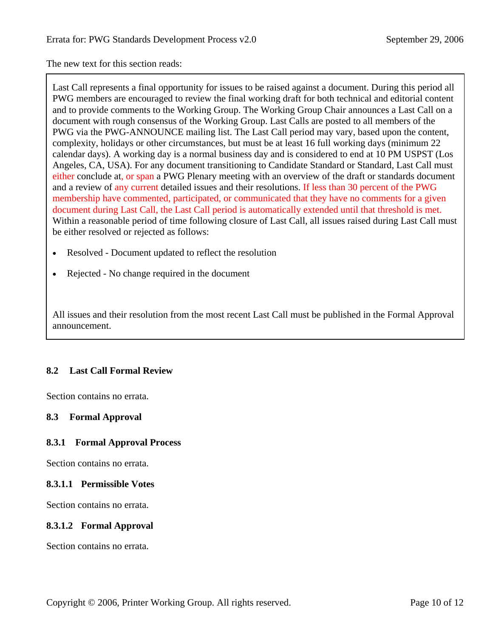<span id="page-9-0"></span>The new text for this section reads:

Last Call represents a final opportunity for issues to be raised against a document. During this period all PWG members are encouraged to review the final working draft for both technical and editorial content and to provide comments to the Working Group. The Working Group Chair announces a Last Call on a document with rough consensus of the Working Group. Last Calls are posted to all members of the PWG via the PWG-ANNOUNCE mailing list. The Last Call period may vary, based upon the content, complexity, holidays or other circumstances, but must be at least 16 full working days (minimum 22 calendar days). A working day is a normal business day and is considered to end at 10 PM USPST (Los Angeles, CA, USA). For any document transitioning to Candidate Standard or Standard, Last Call must either conclude at, or span a PWG Plenary meeting with an overview of the draft or standards document and a review of any current detailed issues and their resolutions. If less than 30 percent of the PWG membership have commented, participated, or communicated that they have no comments for a given document during Last Call, the Last Call period is automatically extended until that threshold is met. Within a reasonable period of time following closure of Last Call, all issues raised during Last Call must be either resolved or rejected as follows:

- Resolved Document updated to reflect the resolution
- Rejected No change required in the document

All issues and their resolution from the most recent Last Call must be published in the Formal Approval announcement.

# **8.2 Last Call Formal Review**

Section contains no errata.

# **8.3 Formal Approval**

# **8.3.1 Formal Approval Process**

Section contains no errata.

# **8.3.1.1 Permissible Votes**

Section contains no errata.

# **8.3.1.2 Formal Approval**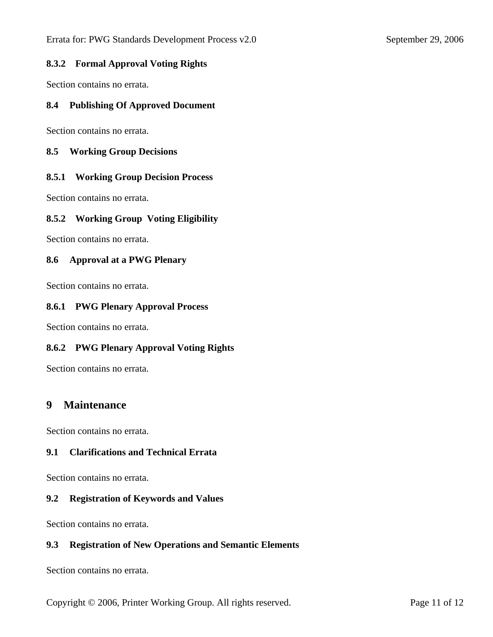# <span id="page-10-0"></span>**8.3.2 Formal Approval Voting Rights**

Section contains no errata.

## **8.4 Publishing Of Approved Document**

Section contains no errata.

#### **8.5 Working Group Decisions**

# **8.5.1 Working Group Decision Process**

Section contains no errata.

# **8.5.2 Working Group Voting Eligibility**

Section contains no errata.

# **8.6 Approval at a PWG Plenary**

Section contains no errata.

#### **8.6.1 PWG Plenary Approval Process**

Section contains no errata.

#### **8.6.2 PWG Plenary Approval Voting Rights**

Section contains no errata.

# **9 Maintenance**

Section contains no errata.

# **9.1 Clarifications and Technical Errata**

Section contains no errata.

#### **9.2 Registration of Keywords and Values**

Section contains no errata.

# **9.3 Registration of New Operations and Semantic Elements**